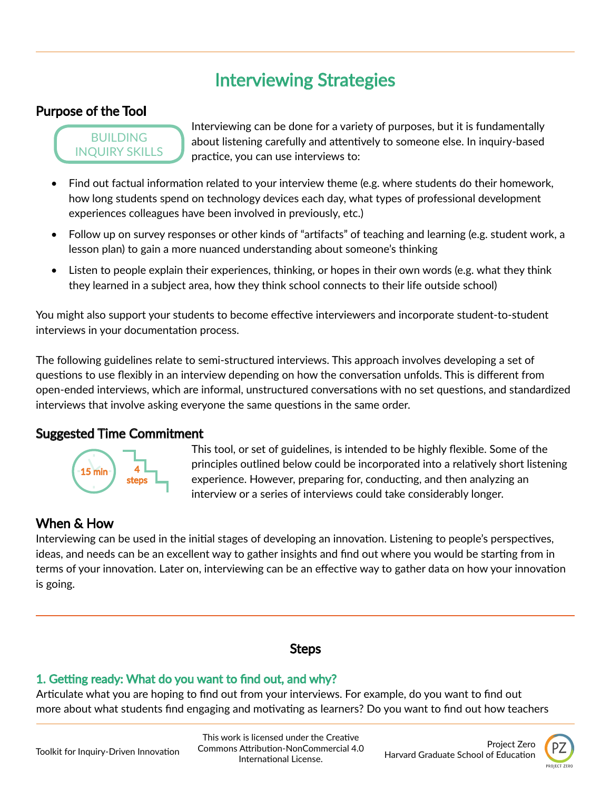# Interviewing Strategies

## Purpose of the Tool

#### **BUILDING** INQUIRY SKILLS

Interviewing can be done for a variety of purposes, but it is fundamentally about listening carefully and attentively to someone else. In inquiry-based practice, you can use interviews to:

- Find out factual information related to your interview theme (e.g. where students do their homework, how long students spend on technology devices each day, what types of professional development experiences colleagues have been involved in previously, etc.)
- Follow up on survey responses or other kinds of "artifacts" of teaching and learning (e.g. student work, a lesson plan) to gain a more nuanced understanding about someone's thinking
- Listen to people explain their experiences, thinking, or hopes in their own words (e.g. what they think they learned in a subject area, how they think school connects to their life outside school)

You might also support your students to become effective interviewers and incorporate student-to-student interviews in your documentation process.

The following guidelines relate to semi-structured interviews. This approach involves developing a set of questions to use flexibly in an interview depending on how the conversation unfolds. This is different from open-ended interviews, which are informal, unstructured conversations with no set questions, and standardized interviews that involve asking everyone the same questions in the same order.

### Suggested Time Commitment



This tool, or set of guidelines, is intended to be highly flexible. Some of the principles outlined below could be incorporated into a relatively short listening experience. However, preparing for, conducting, and then analyzing an interview or a series of interviews could take considerably longer.

## When & How

Interviewing can be used in the initial stages of developing an innovation. Listening to people's perspectives, ideas, and needs can be an excellent way to gather insights and find out where you would be starting from in terms of your innovation. Later on, interviewing can be an effective way to gather data on how your innovation is going.

## Steps

## 1. Getting ready: What do you want to find out, and why?

Articulate what you are hoping to find out from your interviews. For example, do you want to find out more about what students find engaging and motivating as learners? Do you want to find out how teachers

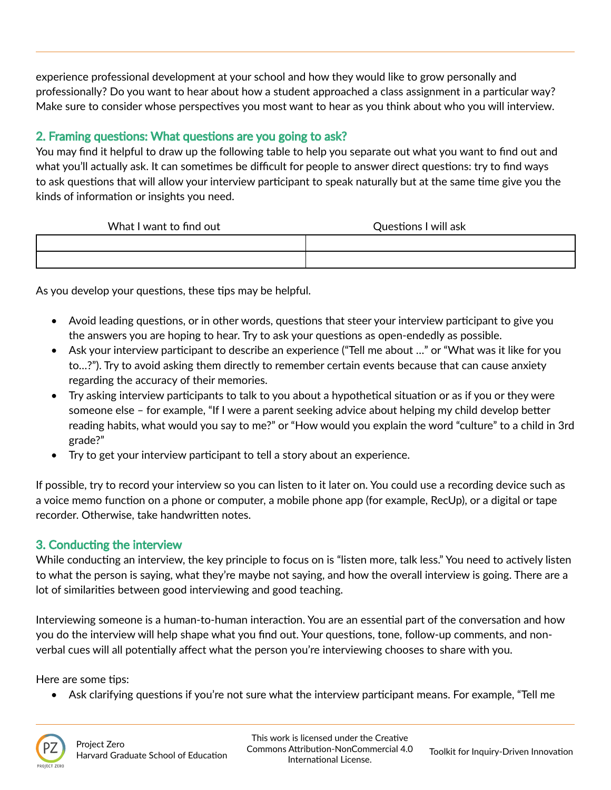experience professional development at your school and how they would like to grow personally and professionally? Do you want to hear about how a student approached a class assignment in a particular way? Make sure to consider whose perspectives you most want to hear as you think about who you will interview.

## 2. Framing questions: What questions are you going to ask?

You may find it helpful to draw up the following table to help you separate out what you want to find out and what you'll actually ask. It can sometimes be difficult for people to answer direct questions: try to find ways to ask questions that will allow your interview participant to speak naturally but at the same time give you the kinds of information or insights you need.

| What I want to find out | Questions I will ask |
|-------------------------|----------------------|
|                         |                      |
|                         |                      |

As you develop your questions, these tips may be helpful.

- Avoid leading questions, or in other words, questions that steer your interview participant to give you the answers you are hoping to hear. Try to ask your questions as open-endedly as possible.
- Ask your interview participant to describe an experience ("Tell me about …" or "What was it like for you to…?"). Try to avoid asking them directly to remember certain events because that can cause anxiety regarding the accuracy of their memories.
- Try asking interview participants to talk to you about a hypothetical situation or as if you or they were someone else – for example, "If I were a parent seeking advice about helping my child develop better reading habits, what would you say to me?" or "How would you explain the word "culture" to a child in 3rd grade?"
- Try to get your interview participant to tell a story about an experience.

If possible, try to record your interview so you can listen to it later on. You could use a recording device such as a voice memo function on a phone or computer, a mobile phone app (for example, RecUp), or a digital or tape recorder. Otherwise, take handwritten notes.

#### 3. Conducting the interview

While conducting an interview, the key principle to focus on is "listen more, talk less." You need to actively listen to what the person is saying, what they're maybe not saying, and how the overall interview is going. There are a lot of similarities between good interviewing and good teaching.

Interviewing someone is a human-to-human interaction. You are an essential part of the conversation and how you do the interview will help shape what you find out. Your questions, tone, follow-up comments, and nonverbal cues will all potentially affect what the person you're interviewing chooses to share with you.

Here are some tips:

• Ask clarifying questions if you're not sure what the interview participant means. For example, "Tell me